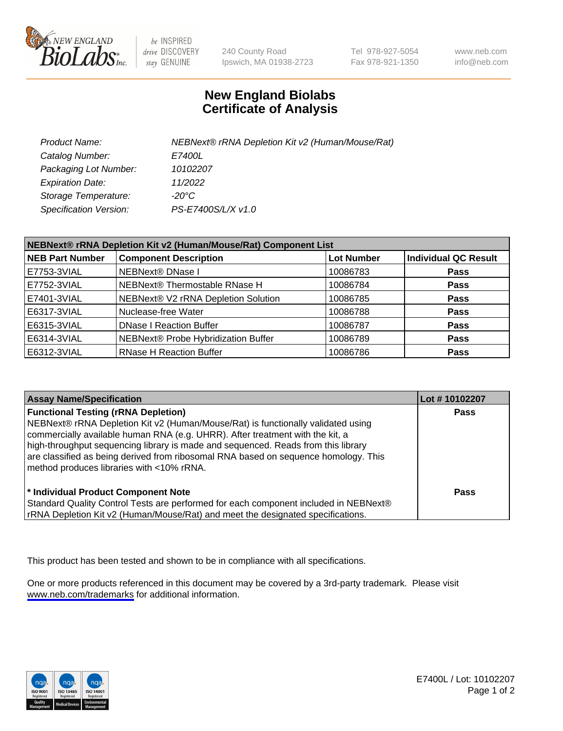

be INSPIRED drive DISCOVERY stay GENUINE

240 County Road Ipswich, MA 01938-2723 Tel 978-927-5054 Fax 978-921-1350

www.neb.com info@neb.com

## **New England Biolabs Certificate of Analysis**

| Product Name:                 | NEBNext® rRNA Depletion Kit v2 (Human/Mouse/Rat) |
|-------------------------------|--------------------------------------------------|
| Catalog Number:               | <i>E7400L</i>                                    |
| Packaging Lot Number:         | 10102207                                         |
| <b>Expiration Date:</b>       | 11/2022                                          |
| Storage Temperature:          | -20°C                                            |
| <b>Specification Version:</b> | PS-E7400S/L/X v1.0                               |

| NEBNext® rRNA Depletion Kit v2 (Human/Mouse/Rat) Component List |                                     |                   |                             |  |
|-----------------------------------------------------------------|-------------------------------------|-------------------|-----------------------------|--|
| <b>NEB Part Number</b>                                          | <b>Component Description</b>        | <b>Lot Number</b> | <b>Individual QC Result</b> |  |
| E7753-3VIAL                                                     | NEBNext® DNase I                    | 10086783          | <b>Pass</b>                 |  |
| E7752-3VIAL                                                     | NEBNext® Thermostable RNase H       | 10086784          | <b>Pass</b>                 |  |
| E7401-3VIAL                                                     | NEBNext® V2 rRNA Depletion Solution | 10086785          | <b>Pass</b>                 |  |
| E6317-3VIAL                                                     | Nuclease-free Water                 | 10086788          | <b>Pass</b>                 |  |
| E6315-3VIAL                                                     | <b>DNase I Reaction Buffer</b>      | 10086787          | <b>Pass</b>                 |  |
| E6314-3VIAL                                                     | NEBNext® Probe Hybridization Buffer | 10086789          | <b>Pass</b>                 |  |
| E6312-3VIAL                                                     | <b>RNase H Reaction Buffer</b>      | 10086786          | <b>Pass</b>                 |  |

| <b>Assay Name/Specification</b>                                                                                                                                                                                                                                                                                                                                                                                                          | Lot #10102207 |
|------------------------------------------------------------------------------------------------------------------------------------------------------------------------------------------------------------------------------------------------------------------------------------------------------------------------------------------------------------------------------------------------------------------------------------------|---------------|
| <b>Functional Testing (rRNA Depletion)</b><br>NEBNext® rRNA Depletion Kit v2 (Human/Mouse/Rat) is functionally validated using<br>commercially available human RNA (e.g. UHRR). After treatment with the kit, a<br>high-throughput sequencing library is made and sequenced. Reads from this library<br>are classified as being derived from ribosomal RNA based on sequence homology. This<br>method produces libraries with <10% rRNA. | <b>Pass</b>   |
| * Individual Product Component Note<br>Standard Quality Control Tests are performed for each component included in NEBNext®<br>rRNA Depletion Kit v2 (Human/Mouse/Rat) and meet the designated specifications.                                                                                                                                                                                                                           | Pass          |

This product has been tested and shown to be in compliance with all specifications.

One or more products referenced in this document may be covered by a 3rd-party trademark. Please visit <www.neb.com/trademarks>for additional information.